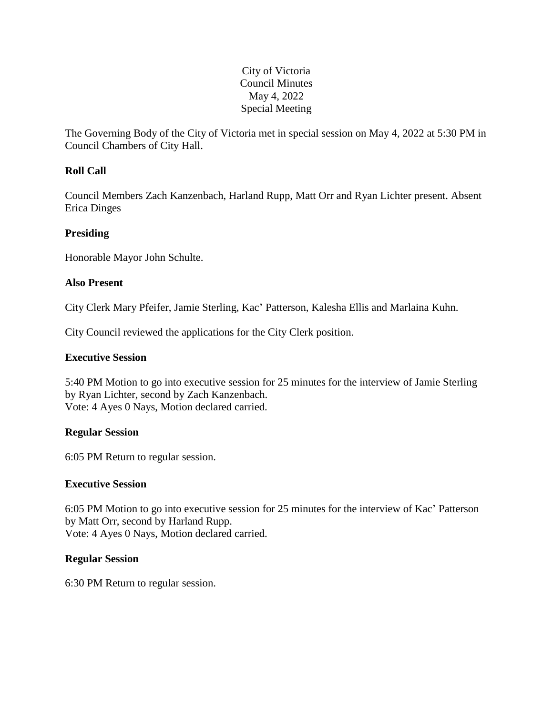## City of Victoria Council Minutes May 4, 2022 Special Meeting

The Governing Body of the City of Victoria met in special session on May 4, 2022 at 5:30 PM in Council Chambers of City Hall.

# **Roll Call**

Council Members Zach Kanzenbach, Harland Rupp, Matt Orr and Ryan Lichter present. Absent Erica Dinges

# **Presiding**

Honorable Mayor John Schulte.

## **Also Present**

City Clerk Mary Pfeifer, Jamie Sterling, Kac' Patterson, Kalesha Ellis and Marlaina Kuhn.

City Council reviewed the applications for the City Clerk position.

### **Executive Session**

5:40 PM Motion to go into executive session for 25 minutes for the interview of Jamie Sterling by Ryan Lichter, second by Zach Kanzenbach. Vote: 4 Ayes 0 Nays, Motion declared carried.

#### **Regular Session**

6:05 PM Return to regular session.

#### **Executive Session**

6:05 PM Motion to go into executive session for 25 minutes for the interview of Kac' Patterson by Matt Orr, second by Harland Rupp. Vote: 4 Ayes 0 Nays, Motion declared carried.

#### **Regular Session**

6:30 PM Return to regular session.